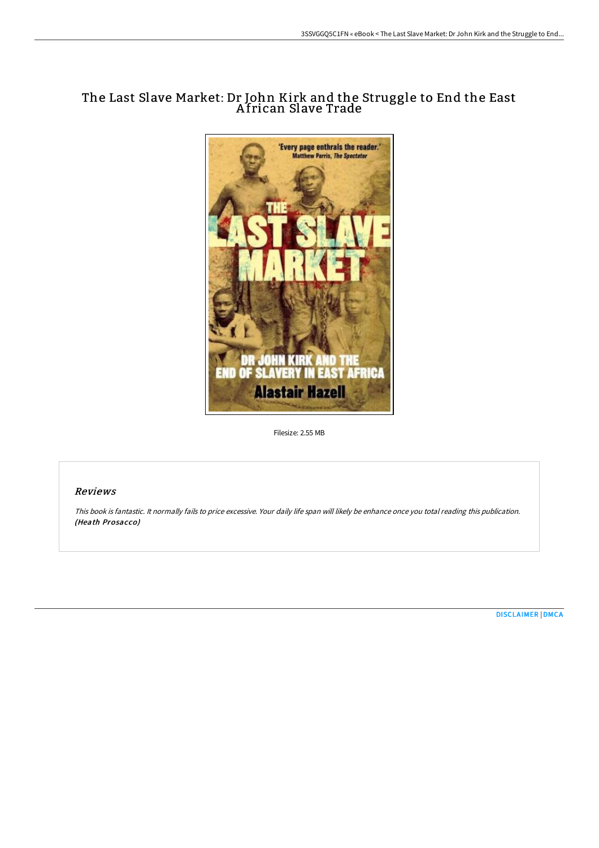# The Last Slave Market: Dr John Kirk and the Struggle to End the East A frican Slave Trade



Filesize: 2.55 MB

## Reviews

This book is fantastic. It normally fails to price excessive. Your daily life span will likely be enhance once you total reading this publication. (Heath Prosacco)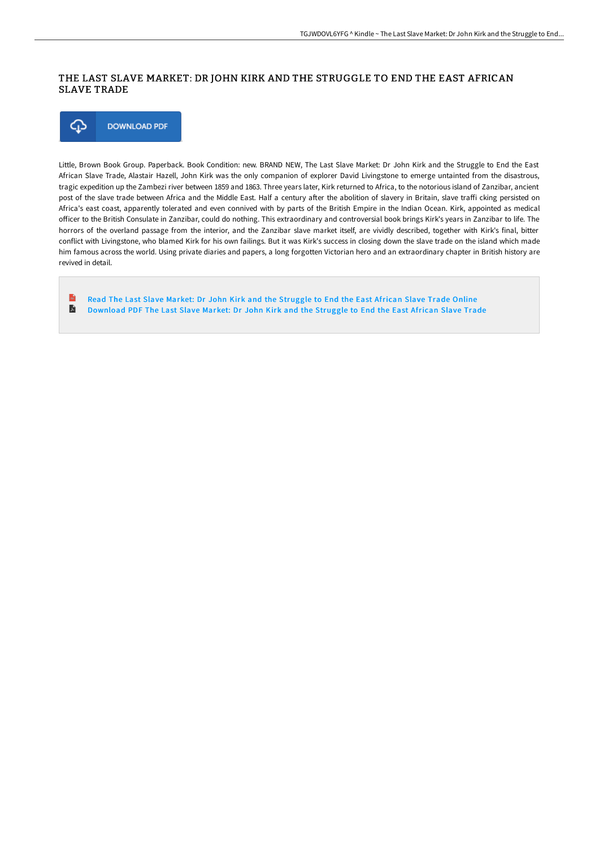## THE LAST SLAVE MARKET: DR JOHN KIRK AND THE STRUGGLE TO END THE EAST AFRICAN SLAVE TRADE



Little, Brown Book Group. Paperback. Book Condition: new. BRAND NEW, The Last Slave Market: Dr John Kirk and the Struggle to End the East African Slave Trade, Alastair Hazell, John Kirk was the only companion of explorer David Livingstone to emerge untainted from the disastrous, tragic expedition up the Zambezi river between 1859 and 1863. Three years later, Kirk returned to Africa, to the notorious island of Zanzibar, ancient post of the slave trade between Africa and the Middle East. Half a century after the abolition of slavery in Britain, slave traffi cking persisted on Africa's east coast, apparently tolerated and even connived with by parts of the British Empire in the Indian Ocean. Kirk, appointed as medical officer to the British Consulate in Zanzibar, could do nothing. This extraordinary and controversial book brings Kirk's years in Zanzibar to life. The horrors of the overland passage from the interior, and the Zanzibar slave market itself, are vividly described, together with Kirk's final, bitter conflict with Livingstone, who blamed Kirk for his own failings. But it was Kirk's success in closing down the slave trade on the island which made him famous across the world. Using private diaries and papers, a long forgotten Victorian hero and an extraordinary chapter in British history are revived in detail.

Read The Last Slave Market: Dr John Kirk and the [Struggle](http://albedo.media/the-last-slave-market-dr-john-kirk-and-the-strug.html) to End the East African Slave Trade Online  $\blacksquare$ [Download](http://albedo.media/the-last-slave-market-dr-john-kirk-and-the-strug.html) PDF The Last Slave Market: Dr John Kirk and the Struggle to End the East African Slave Trade